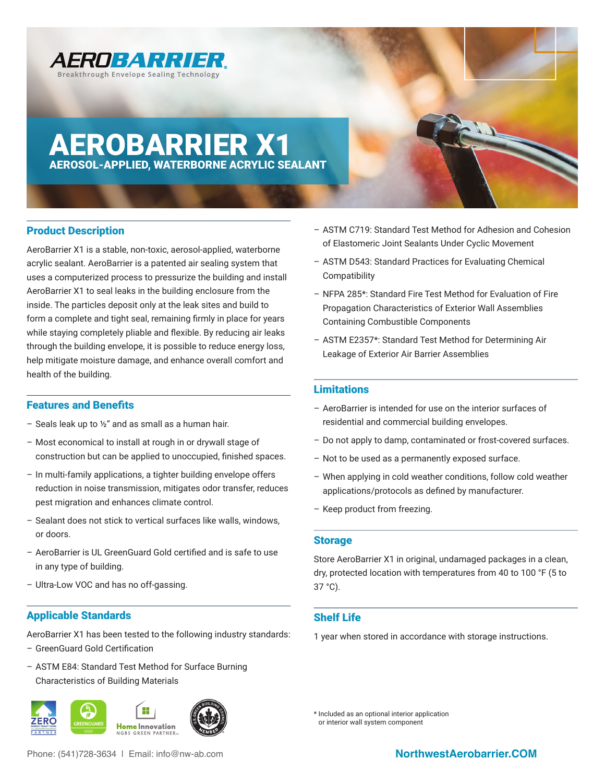

# AEROBARRIER X1 AEROSOL-APPLIED, WATERBORNE ACRYLIC SEALANT

## Product Description

AeroBarrier X1 is a stable, non-toxic, aerosol-applied, waterborne acrylic sealant. AeroBarrier is a patented air sealing system that uses a computerized process to pressurize the building and install AeroBarrier X1 to seal leaks in the building enclosure from the inside. The particles deposit only at the leak sites and build to form a complete and tight seal, remaining frmly in place for years while staying completely pliable and flexible. By reducing air leaks through the building envelope, it is possible to reduce energy loss, help mitigate moisture damage, and enhance overall comfort and health of the building.

## **Features and Benefits**

- Seals leak up to  $\frac{1}{2}$ " and as small as a human hair.
- Most economical to install at rough in or drywall stage of construction but can be applied to unoccupied, fnished spaces.
- In multi-family applications, a tighter building envelope offers reduction in noise transmission, mitigates odor transfer, reduces pest migration and enhances climate control.
- Sealant does not stick to vertical surfaces like walls, windows, or doors.
- AeroBarrier is UL GreenGuard Gold certifed and is safe to use in any type of building.
- Ultra-Low VOC and has no off-gassing.

## Applicable Standards

AeroBarrier X1 has been tested to the following industry standards: – GreenGuard Gold Certifcation

– ASTM E84: Standard Test Method for Surface Burning Characteristics of Building Materials



Phone: (541)728-3634 | Email: info@nw-ab.com **NorthwestAerobarrier.COM** 

- ASTM C719: Standard Test Method for Adhesion and Cohesion of Elastomeric Joint Sealants Under Cyclic Movement
- ASTM D543: Standard Practices for Evaluating Chemical Compatibility
- NFPA 285\*: Standard Fire Test Method for Evaluation of Fire Propagation Characteristics of Exterior Wall Assemblies Containing Combustible Components
- ASTM E2357\*: Standard Test Method for Determining Air Leakage of Exterior Air Barrier Assemblies

#### **Limitations**

- AeroBarrier is intended for use on the interior surfaces of residential and commercial building envelopes.
- Do not apply to damp, contaminated or frost-covered surfaces.
- Not to be used as a permanently exposed surface.
- When applying in cold weather conditions, follow cold weather applications/protocols as defned by manufacturer.
- Keep product from freezing.

#### Storage

Store AeroBarrier X1 in original, undamaged packages in a clean, dry, protected location with temperatures from 40 to 100 °F (5 to 37 °C).

## Shelf Life

1 year when stored in accordance with storage instructions.

\* Included as an optional interior application or interior wall system component